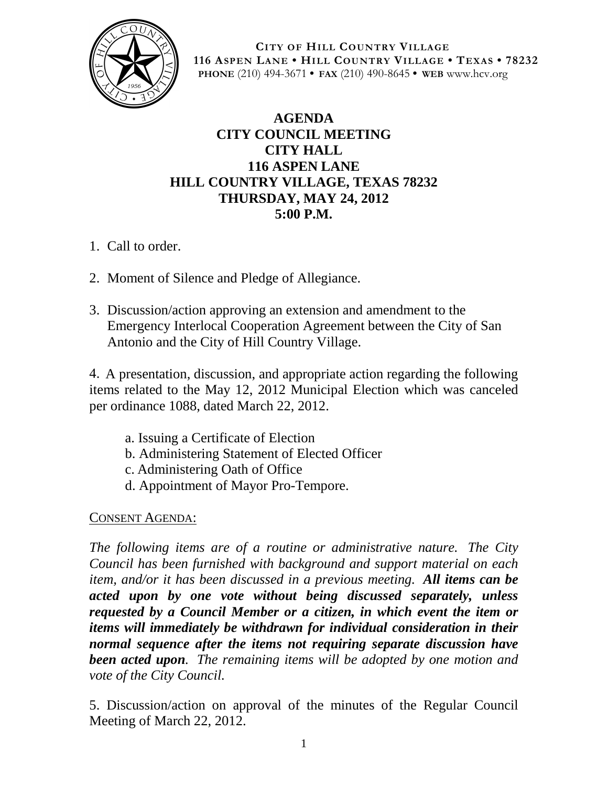

**CITY OF HILL COUNTRY VILLAGE 116 ASPEN LANE • HILL COUNTRY VILLAGE • TEXAS • 78232 PHONE** (210) 494-3671 **• FAX** (210) 490-8645 **• WEB** www.hcv.org

## **AGENDA CITY COUNCIL MEETING CITY HALL 116 ASPEN LANE HILL COUNTRY VILLAGE, TEXAS 78232 THURSDAY, MAY 24, 2012 5:00 P.M.**

- 1. Call to order.
- 2. Moment of Silence and Pledge of Allegiance.
- 3. Discussion/action approving an extension and amendment to the Emergency Interlocal Cooperation Agreement between the City of San Antonio and the City of Hill Country Village.

4. A presentation, discussion, and appropriate action regarding the following items related to the May 12, 2012 Municipal Election which was canceled per ordinance 1088, dated March 22, 2012.

- a. Issuing a Certificate of Election
- b. Administering Statement of Elected Officer
- c. Administering Oath of Office
- d. Appointment of Mayor Pro-Tempore.

## CONSENT AGENDA:

*The following items are of a routine or administrative nature. The City Council has been furnished with background and support material on each item, and/or it has been discussed in a previous meeting. All items can be acted upon by one vote without being discussed separately, unless requested by a Council Member or a citizen, in which event the item or items will immediately be withdrawn for individual consideration in their normal sequence after the items not requiring separate discussion have been acted upon. The remaining items will be adopted by one motion and vote of the City Council.*

5. Discussion/action on approval of the minutes of the Regular Council Meeting of March 22, 2012.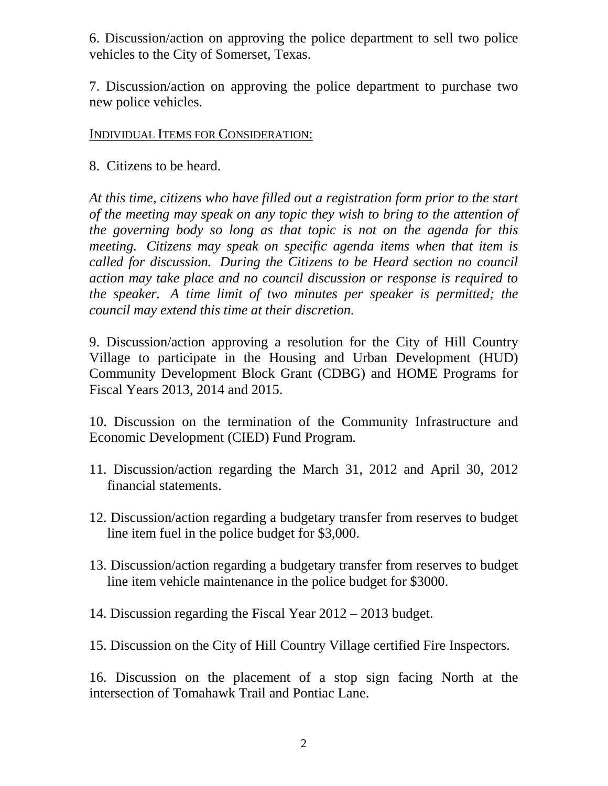6. Discussion/action on approving the police department to sell two police vehicles to the City of Somerset, Texas.

7. Discussion/action on approving the police department to purchase two new police vehicles.

## INDIVIDUAL ITEMS FOR CONSIDERATION:

8. Citizens to be heard.

*At this time, citizens who have filled out a registration form prior to the start of the meeting may speak on any topic they wish to bring to the attention of the governing body so long as that topic is not on the agenda for this meeting. Citizens may speak on specific agenda items when that item is called for discussion. During the Citizens to be Heard section no council action may take place and no council discussion or response is required to the speaker. A time limit of two minutes per speaker is permitted; the council may extend this time at their discretion.*

9. Discussion/action approving a resolution for the City of Hill Country Village to participate in the Housing and Urban Development (HUD) Community Development Block Grant (CDBG) and HOME Programs for Fiscal Years 2013, 2014 and 2015.

10. Discussion on the termination of the Community Infrastructure and Economic Development (CIED) Fund Program.

- 11. Discussion/action regarding the March 31, 2012 and April 30, 2012 financial statements.
- 12. Discussion/action regarding a budgetary transfer from reserves to budget line item fuel in the police budget for \$3,000.
- 13. Discussion/action regarding a budgetary transfer from reserves to budget line item vehicle maintenance in the police budget for \$3000.
- 14. Discussion regarding the Fiscal Year 2012 2013 budget.
- 15. Discussion on the City of Hill Country Village certified Fire Inspectors.

16. Discussion on the placement of a stop sign facing North at the intersection of Tomahawk Trail and Pontiac Lane.